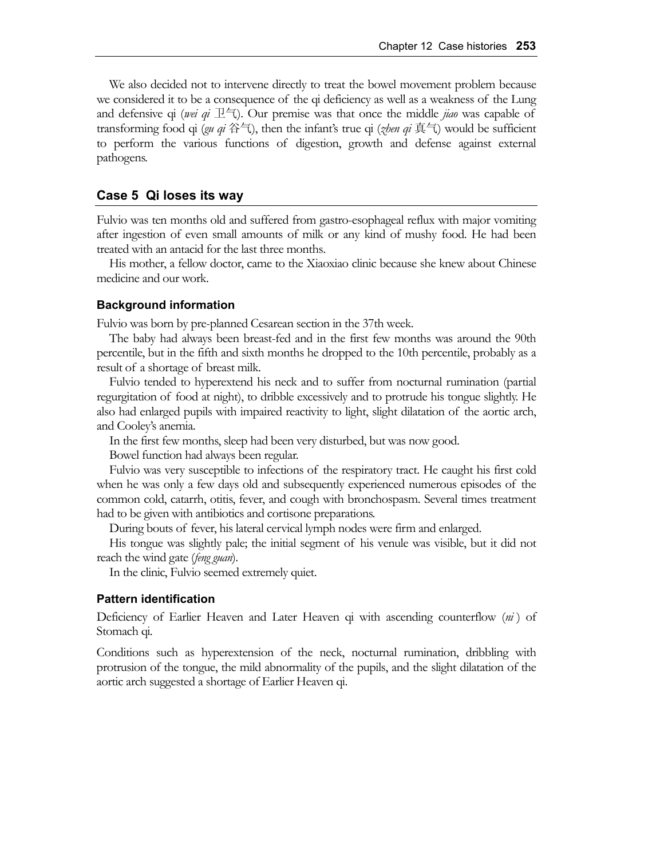We also decided not to intervene directly to treat the bowel movement problem because we considered it to be a consequence of the qi deficiency as well as a weakness of the Lung and defensive qi (*wei qi*  $\mathbb{R}^2$ ). Our premise was that once the middle *jiao* was capable of transforming food qi (*gu qi* 谷气), then the infant's true qi (*zhen qi* 真气) would be sufficient to perform the various functions of digestion, growth and defense against external pathogens.

## **Case 5 Qi loses its way**

Fulvio was ten months old and suffered from gastro-esophageal reflux with major vomiting after ingestion of even small amounts of milk or any kind of mushy food. He had been treated with an antacid for the last three months.

His mother, a fellow doctor, came to the Xiaoxiao clinic because she knew about Chinese medicine and our work.

#### **Background information**

Fulvio was born by pre-planned Cesarean section in the 37th week.

The baby had always been breast-fed and in the first few months was around the 90th percentile, but in the fifth and sixth months he dropped to the 10th percentile, probably as a result of a shortage of breast milk.

Fulvio tended to hyperextend his neck and to suffer from nocturnal rumination (partial regurgitation of food at night), to dribble excessively and to protrude his tongue slightly. He also had enlarged pupils with impaired reactivity to light, slight dilatation of the aortic arch, and Cooley's anemia.

In the first few months, sleep had been very disturbed, but was now good.

Bowel function had always been regular.

Fulvio was very susceptible to infections of the respiratory tract. He caught his first cold when he was only a few days old and subsequently experienced numerous episodes of the common cold, catarrh, otitis, fever, and cough with bronchospasm. Several times treatment had to be given with antibiotics and cortisone preparations.

During bouts of fever, his lateral cervical lymph nodes were firm and enlarged.

His tongue was slightly pale; the initial segment of his venule was visible, but it did not reach the wind gate (*feng guan*).

In the clinic, Fulvio seemed extremely quiet.

## **Pattern identification**

Deficiency of Earlier Heaven and Later Heaven qi with ascending counterflow (*ni* ) of Stomach qi.

Conditions such as hyperextension of the neck, nocturnal rumination, dribbling with protrusion of the tongue, the mild abnormality of the pupils, and the slight dilatation of the aortic arch suggested a shortage of Earlier Heaven qi.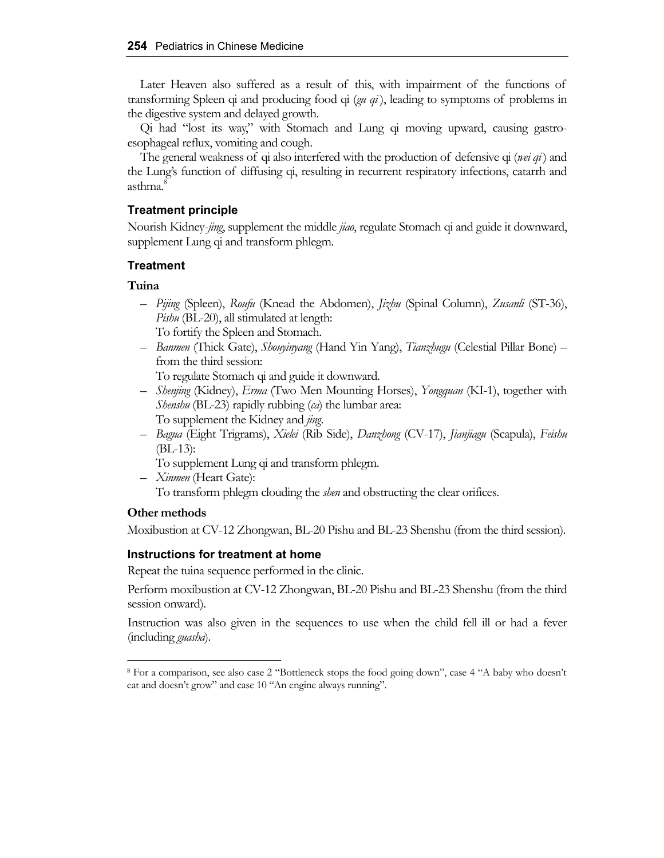Later Heaven also suffered as a result of this, with impairment of the functions of transforming Spleen qi and producing food qi (*gu qi* ), leading to symptoms of problems in the digestive system and delayed growth.

Qi had "lost its way," with Stomach and Lung qi moving upward, causing gastroesophageal reflux, vomiting and cough.

The general weakness of qi also interfered with the production of defensive qi (*wei qi*) and the Lung's function of diffusing qi, resulting in recurrent respiratory infections, catarrh and asthma.<sup>8</sup>

# **Treatment principle**

Nourish Kidney-*jing*, supplement the middle *jiao*, regulate Stomach qi and guide it downward, supplement Lung qi and transform phlegm.

## **Treatment**

# **Tuina**

- *Pijing* (Spleen), *Roufu* (Knead the Abdomen), *Jizhu* (Spinal Column), *Zusanli* (ST-36), *Pishu* (BL-20), all stimulated at length: To fortify the Spleen and Stomach.
- *Banmen* (Thick Gate), *Shouyinyang* (Hand Yin Yang), *Tianzhugu* (Celestial Pillar Bone) from the third session:

To regulate Stomach qi and guide it downward.

- *Shenjing* (Kidney), *Erma* (Two Men Mounting Horses), *Yongquan* (KI-1), together with *Shenshu* (BL-23) rapidly rubbing (*ca*) the lumbar area: To supplement the Kidney and *jing*.
- *Bagua* (Eight Trigrams), *Xielei* (Rib Side), *Danzhong* (CV-17), *Jianjiagu* (Scapula), *Feishu* (BL-13):
	- To supplement Lung qi and transform phlegm.
- *Xinmen* (Heart Gate):

To transform phlegm clouding the *shen* and obstructing the clear orifices.

## **Other methods**

Moxibustion at CV-12 Zhongwan, BL-20 Pishu and BL-23 Shenshu (from the third session).

# **Instructions for treatment at home**

Repeat the tuina sequence performed in the clinic.

Perform moxibustion at CV-12 Zhongwan, BL-20 Pishu and BL-23 Shenshu (from the third session onward).

Instruction was also given in the sequences to use when the child fell ill or had a fever (including *guasha*).

<sup>8</sup> For a comparison, see also case 2 "Bottleneck stops the food going down", case 4 "A baby who doesn't eat and doesn't grow" and case 10 "An engine always running".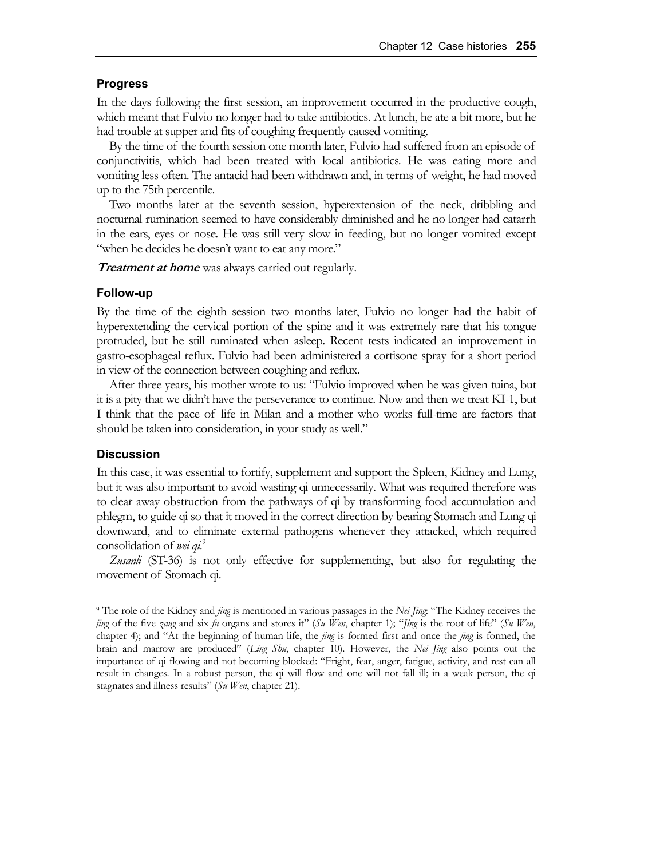### **Progress**

In the days following the first session, an improvement occurred in the productive cough, which meant that Fulvio no longer had to take antibiotics. At lunch, he ate a bit more, but he had trouble at supper and fits of coughing frequently caused vomiting.

By the time of the fourth session one month later, Fulvio had suffered from an episode of conjunctivitis, which had been treated with local antibiotics. He was eating more and vomiting less often. The antacid had been withdrawn and, in terms of weight, he had moved up to the 75th percentile.

Two months later at the seventh session, hyperextension of the neck, dribbling and nocturnal rumination seemed to have considerably diminished and he no longer had catarrh in the ears, eyes or nose. He was still very slow in feeding, but no longer vomited except "when he decides he doesn't want to eat any more."

**Treatment at home** was always carried out regularly.

#### **Follow-up**

By the time of the eighth session two months later, Fulvio no longer had the habit of hyperextending the cervical portion of the spine and it was extremely rare that his tongue protruded, but he still ruminated when asleep. Recent tests indicated an improvement in gastro-esophageal reflux. Fulvio had been administered a cortisone spray for a short period in view of the connection between coughing and reflux.

After three years, his mother wrote to us: "Fulvio improved when he was given tuina, but it is a pity that we didn't have the perseverance to continue. Now and then we treat KI-1, but I think that the pace of life in Milan and a mother who works full-time are factors that should be taken into consideration, in your study as well."

#### **Discussion**

In this case, it was essential to fortify, supplement and support the Spleen, Kidney and Lung, but it was also important to avoid wasting qi unnecessarily. What was required therefore was to clear away obstruction from the pathways of qi by transforming food accumulation and phlegm, to guide qi so that it moved in the correct direction by bearing Stomach and Lung qi downward, and to eliminate external pathogens whenever they attacked, which required consolidation of *wei qi*. 9

*Zusanli* (ST-36) is not only effective for supplementing, but also for regulating the movement of Stomach qi.

<sup>9</sup> The role of the Kidney and *jing* is mentioned in various passages in the *Nei Jing*: "The Kidney receives the *jing* of the five *zang* and six *fu* organs and stores it" (*Su Wen*, chapter 1); "*Jing* is the root of life" (*Su Wen*, chapter 4); and "At the beginning of human life, the *jing* is formed first and once the *jing* is formed, the brain and marrow are produced" (*Ling Shu*, chapter 10). However, the *Nei Jing* also points out the importance of qi flowing and not becoming blocked: "Fright, fear, anger, fatigue, activity, and rest can all result in changes. In a robust person, the qi will flow and one will not fall ill; in a weak person, the qi stagnates and illness results" (*Su Wen*, chapter 21).